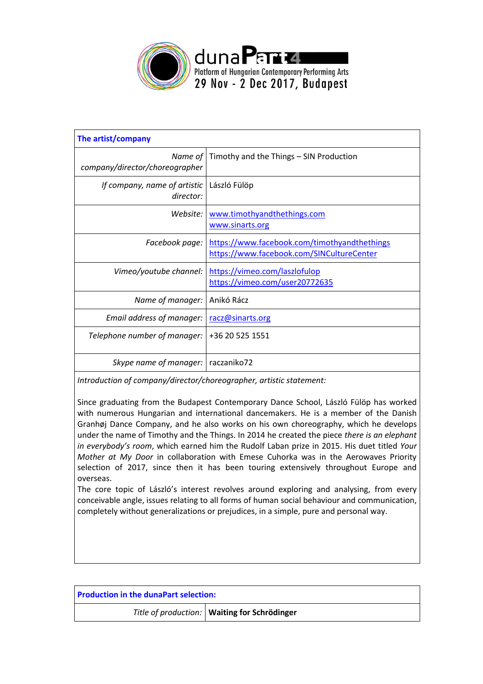

| Timothy and the Things - SIN Production                                                   |
|-------------------------------------------------------------------------------------------|
| László Fülöp                                                                              |
| www.timothyandthethings.com<br>www.sinarts.org                                            |
| https://www.facebook.com/timothyandthethings<br>https://www.facebook.com/SINCultureCenter |
| https://vimeo.com/laszlofulop<br>https://vimeo.com/user20772635                           |
| Anikó Rácz                                                                                |
| racz@sinarts.org                                                                          |
| +36 20 525 1551                                                                           |
| raczaniko72                                                                               |
|                                                                                           |

*Introduction of company/director/choreographer, artistic statement:*

Since graduating from the Budapest Contemporary Dance School, László Fülöp has worked with numerous Hungarian and international dancemakers. He is a member of the Danish Granhøj Dance Company, and he also works on his own choreography, which he develops under the name of Timothy and the Things. In 2014 he created the piece *there is an elephant in everybody's room*, which earned him the Rudolf Laban prize in 2015. His duet titled *Your Mother at My Door* in collaboration with Emese Cuhorka was in the Aerowaves Priority selection of 2017, since then it has been touring extensively throughout Europe and overseas.

The core topic of László's interest revolves around exploring and analysing, from every conceivable angle, issues relating to all forms of human social behaviour and communication, completely without generalizations or prejudices, in a simple, pure and personal way.

| <b>Production in the dunaPart selection:</b> |                                                |  |
|----------------------------------------------|------------------------------------------------|--|
|                                              | Title of production:   Waiting for Schrödinger |  |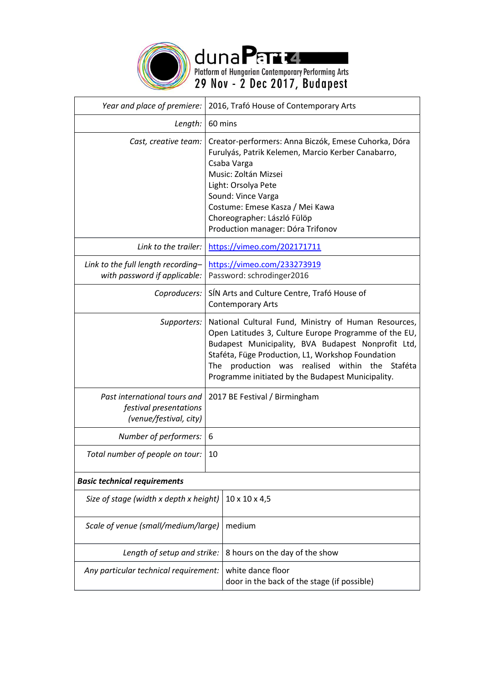

duna Part Level Platform of Hungarian Contemporary Performing Arts<br>29 Nov - 2 Dec 2017, Budapest

| Year and place of premiere:                                                      |         | 2016, Trafó House of Contemporary Arts                                                                                                                                                                                                                                                                                      |
|----------------------------------------------------------------------------------|---------|-----------------------------------------------------------------------------------------------------------------------------------------------------------------------------------------------------------------------------------------------------------------------------------------------------------------------------|
|                                                                                  | 60 mins |                                                                                                                                                                                                                                                                                                                             |
| Length:                                                                          |         |                                                                                                                                                                                                                                                                                                                             |
| Cast, creative team:                                                             |         | Creator-performers: Anna Biczók, Emese Cuhorka, Dóra<br>Furulyás, Patrik Kelemen, Marcio Kerber Canabarro,<br>Csaba Varga<br>Music: Zoltán Mizsei<br>Light: Orsolya Pete<br>Sound: Vince Varga<br>Costume: Emese Kasza / Mei Kawa<br>Choreographer: László Fülöp<br>Production manager: Dóra Trifonov                       |
| Link to the trailer:                                                             |         | https://vimeo.com/202171711                                                                                                                                                                                                                                                                                                 |
| Link to the full length recording-<br>with password if applicable:               |         | https://vimeo.com/233273919<br>Password: schrodinger2016                                                                                                                                                                                                                                                                    |
| Coproducers:                                                                     |         | SÍN Arts and Culture Centre, Trafó House of<br><b>Contemporary Arts</b>                                                                                                                                                                                                                                                     |
| Supporters:                                                                      | The     | National Cultural Fund, Ministry of Human Resources,<br>Open Latitudes 3, Culture Europe Programme of the EU,<br>Budapest Municipality, BVA Budapest Nonprofit Ltd,<br>Staféta, Füge Production, L1, Workshop Foundation<br>production was realised within the Staféta<br>Programme initiated by the Budapest Municipality. |
| Past international tours and<br>festival presentations<br>(venue/festival, city) |         | 2017 BE Festival / Birmingham                                                                                                                                                                                                                                                                                               |
| Number of performers:                                                            | 6       |                                                                                                                                                                                                                                                                                                                             |
| Total number of people on tour:                                                  | 10      |                                                                                                                                                                                                                                                                                                                             |
| <b>Basic technical requirements</b>                                              |         |                                                                                                                                                                                                                                                                                                                             |
| Size of stage (width x depth x height)                                           |         | $10 \times 10 \times 4,5$                                                                                                                                                                                                                                                                                                   |
| Scale of venue (small/medium/large)                                              |         | medium                                                                                                                                                                                                                                                                                                                      |
| Length of setup and strike:                                                      |         | 8 hours on the day of the show                                                                                                                                                                                                                                                                                              |
| Any particular technical requirement:                                            |         | white dance floor<br>door in the back of the stage (if possible)                                                                                                                                                                                                                                                            |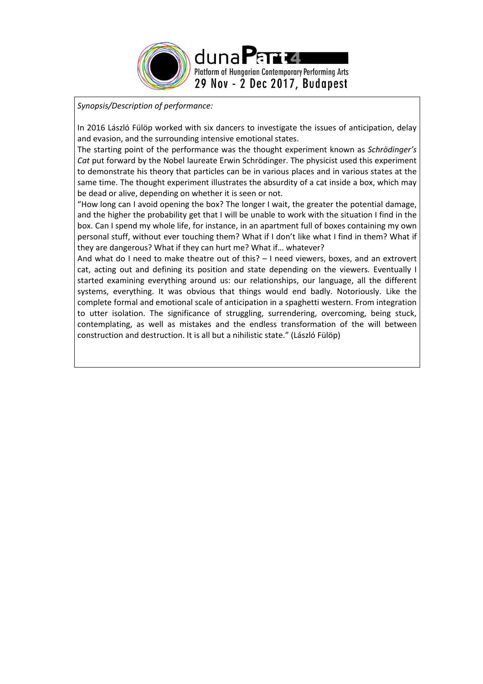

*Synopsis/Description of performance:*

In 2016 László Fülöp worked with six dancers to investigate the issues of anticipation, delay and evasion, and the surrounding intensive emotional states.

The starting point of the performance was the thought experiment known as *Schrödinger's Cat* put forward by the Nobel laureate Erwin Schrödinger. The physicist used this experiment to demonstrate his theory that particles can be in various places and in various states at the same time. The thought experiment illustrates the absurdity of a cat inside a box, which may be dead or alive, depending on whether it is seen or not.

"How long can I avoid opening the box? The longer I wait, the greater the potential damage, and the higher the probability get that I will be unable to work with the situation I find in the box. Can I spend my whole life, for instance, in an apartment full of boxes containing my own personal stuff, without ever touching them? What if I don't like what I find in them? What if they are dangerous? What if they can hurt me? What if… whatever?

And what do I need to make theatre out of this? – I need viewers, boxes, and an extrovert cat, acting out and defining its position and state depending on the viewers. Eventually I started examining everything around us: our relationships, our language, all the different systems, everything. It was obvious that things would end badly. Notoriously. Like the complete formal and emotional scale of anticipation in a spaghetti western. From integration to utter isolation. The significance of struggling, surrendering, overcoming, being stuck, contemplating, as well as mistakes and the endless transformation of the will between construction and destruction. It is all but a nihilistic state." (László Fülöp)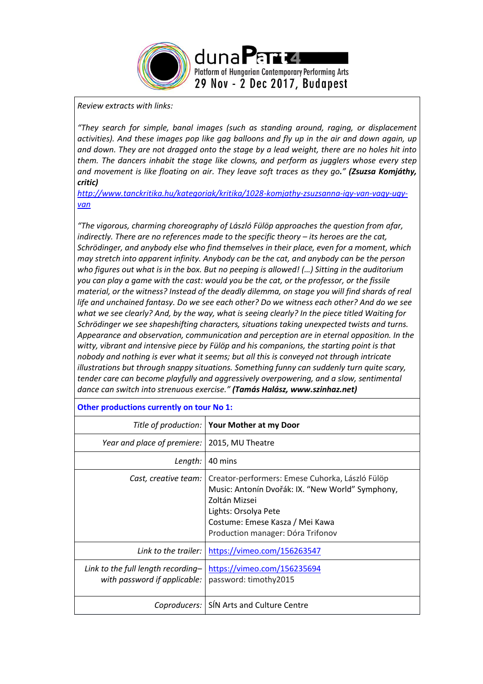

### *Review extracts with links:*

*"They search for simple, banal images (such as standing around, raging, or displacement activities). And these images pop like gag balloons and fly up in the air and down again, up and down. They are not dragged onto the stage by a lead weight, there are no holes hit into them. The dancers inhabit the stage like clowns, and perform as jugglers whose every step and movement is like floating on air. They leave soft traces as they go." (Zsuzsa Komjáthy, critic)*

*[http://www.tanckritika.hu/kategoriak/kritika/1028-komjathy-zsuzsanna-igy-van-vagy-ugy](http://www.tanckritika.hu/kategoriak/kritika/1028-komjathy-zsuzsanna-igy-van-vagy-ugy-van)[van](http://www.tanckritika.hu/kategoriak/kritika/1028-komjathy-zsuzsanna-igy-van-vagy-ugy-van)* 

*"The vigorous, charming choreography of László Fülöp approaches the question from afar, indirectly. There are no references made to the specific theory – its heroes are the cat, Schrödinger, and anybody else who find themselves in their place, even for a moment, which may stretch into apparent infinity. Anybody can be the cat, and anybody can be the person who figures out what is in the box. But no peeping is allowed! (…) Sitting in the auditorium you can play a game with the cast: would you be the cat, or the professor, or the fissile material, or the witness? Instead of the deadly dilemma, on stage you will find shards of real life and unchained fantasy. Do we see each other? Do we witness each other? And do we see what we see clearly? And, by the way, what is seeing clearly? In the piece titled Waiting for Schrödinger we see shapeshifting characters, situations taking unexpected twists and turns. Appearance and observation, communication and perception are in eternal opposition. In the witty, vibrant and intensive piece by Fülöp and his companions, the starting point is that nobody and nothing is ever what it seems; but all this is conveyed not through intricate illustrations but through snappy situations. Something funny can suddenly turn quite scary, tender care can become playfully and aggressively overpowering, and a slow, sentimental dance can switch into strenuous exercise." (Tamás Halász, www.szinhaz.net)* 

# **Other productions currently on tour No 1:**

|                                                                    | Title of production:   Your Mother at my Door                                                                                                                                                                        |
|--------------------------------------------------------------------|----------------------------------------------------------------------------------------------------------------------------------------------------------------------------------------------------------------------|
| Year and place of premiere:                                        | 2015, MU Theatre                                                                                                                                                                                                     |
| Length:                                                            | 40 mins                                                                                                                                                                                                              |
| Cast, creative team:                                               | Creator-performers: Emese Cuhorka, László Fülöp<br>Music: Antonín Dvořák: IX. "New World" Symphony,<br>Zoltán Mizsei<br>Lights: Orsolya Pete<br>Costume: Emese Kasza / Mei Kawa<br>Production manager: Dóra Trifonov |
| Link to the trailer:                                               | https://vimeo.com/156263547                                                                                                                                                                                          |
| Link to the full length recording-<br>with password if applicable: | https://vimeo.com/156235694<br>password: timothy2015                                                                                                                                                                 |
| Coproducers:                                                       | SÍN Arts and Culture Centre                                                                                                                                                                                          |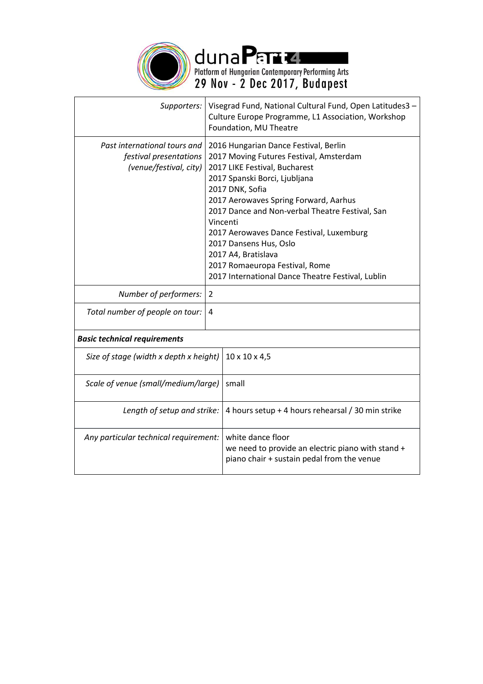

duna Part Level Platform of Hungarian Contemporary Performing Arts<br>29 Nov - 2 Dec 2017, Budapest

| Supporters:                                                                      | Visegrad Fund, National Cultural Fund, Open Latitudes3 -<br>Culture Europe Programme, L1 Association, Workshop<br>Foundation, MU Theatre                                                                                                                                                                                                                                                                                                                          |  |
|----------------------------------------------------------------------------------|-------------------------------------------------------------------------------------------------------------------------------------------------------------------------------------------------------------------------------------------------------------------------------------------------------------------------------------------------------------------------------------------------------------------------------------------------------------------|--|
| Past international tours and<br>festival presentations<br>(venue/festival, city) | 2016 Hungarian Dance Festival, Berlin<br>2017 Moving Futures Festival, Amsterdam<br>2017 LIKE Festival, Bucharest<br>2017 Spanski Borci, Ljubljana<br>2017 DNK, Sofia<br>2017 Aerowaves Spring Forward, Aarhus<br>2017 Dance and Non-verbal Theatre Festival, San<br>Vincenti<br>2017 Aerowaves Dance Festival, Luxemburg<br>2017 Dansens Hus, Oslo<br>2017 A4, Bratislava<br>2017 Romaeuropa Festival, Rome<br>2017 International Dance Theatre Festival, Lublin |  |
| Number of performers:                                                            | $\overline{2}$                                                                                                                                                                                                                                                                                                                                                                                                                                                    |  |
| Total number of people on tour:                                                  | 4                                                                                                                                                                                                                                                                                                                                                                                                                                                                 |  |
| <b>Basic technical requirements</b>                                              |                                                                                                                                                                                                                                                                                                                                                                                                                                                                   |  |
| Size of stage (width x depth x height)                                           | $10 \times 10 \times 4,5$                                                                                                                                                                                                                                                                                                                                                                                                                                         |  |
| Scale of venue (small/medium/large)                                              | small                                                                                                                                                                                                                                                                                                                                                                                                                                                             |  |
| Length of setup and strike:                                                      | 4 hours setup + 4 hours rehearsal / 30 min strike                                                                                                                                                                                                                                                                                                                                                                                                                 |  |
| Any particular technical requirement:                                            | white dance floor<br>we need to provide an electric piano with stand +<br>piano chair + sustain pedal from the venue                                                                                                                                                                                                                                                                                                                                              |  |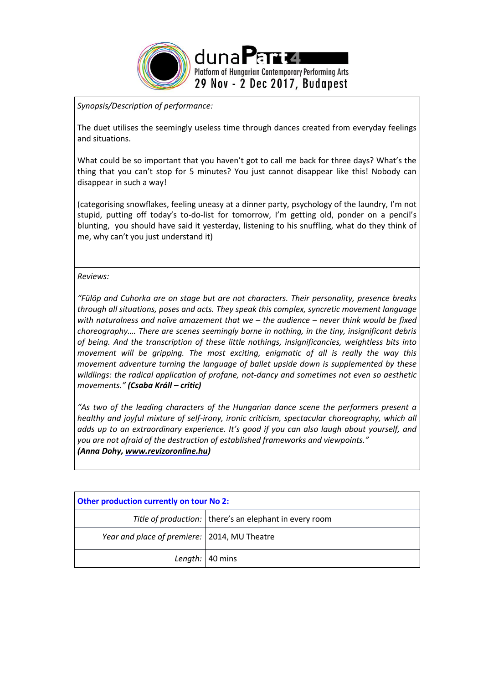

*Synopsis/Description of performance:*

The duet utilises the seemingly useless time through dances created from everyday feelings and situations.

What could be so important that you haven't got to call me back for three days? What's the thing that you can't stop for 5 minutes? You just cannot disappear like this! Nobody can disappear in such a way!

(categorising snowflakes, feeling uneasy at a dinner party, psychology of the laundry, I'm not stupid, putting off today's to-do-list for tomorrow, I'm getting old, ponder on a pencil's blunting, you should have said it yesterday, listening to his snuffling, what do they think of me, why can't you just understand it)

*Reviews:*

*"Fülöp and Cuhorka are on stage but are not characters. Their personality, presence breaks through all situations, poses and acts. They speak this complex, syncretic movement language with naturalness and naïve amazement that we – the audience – never think would be fixed choreography…. There are scenes seemingly borne in nothing, in the tiny, insignificant debris of being. And the transcription of these little nothings, insignificancies, weightless bits into movement will be gripping. The most exciting, enigmatic of all is really the way this movement adventure turning the language of ballet upside down is supplemented by these wildlings: the radical application of profane, not-dancy and sometimes not even so aesthetic movements." (Csaba Králl – critic)*

*"As two of the leading characters of the Hungarian dance scene the performers present a healthy and joyful mixture of self-irony, ironic criticism, spectacular choreography, which all adds up to an extraordinary experience. It's good if you can also laugh about yourself, and you are not afraid of the destruction of established frameworks and viewpoints." (Anna Dohy[, www.revizoronline.hu\)](http://www.revizoronline.hu/)*

| <b>Other production currently on tour No 2:</b> |                                                          |  |
|-------------------------------------------------|----------------------------------------------------------|--|
|                                                 | Title of production:   there's an elephant in every room |  |
| Year and place of premiere:   2014, MU Theatre  |                                                          |  |
|                                                 | Length: $ 40 \text{ mins} $                              |  |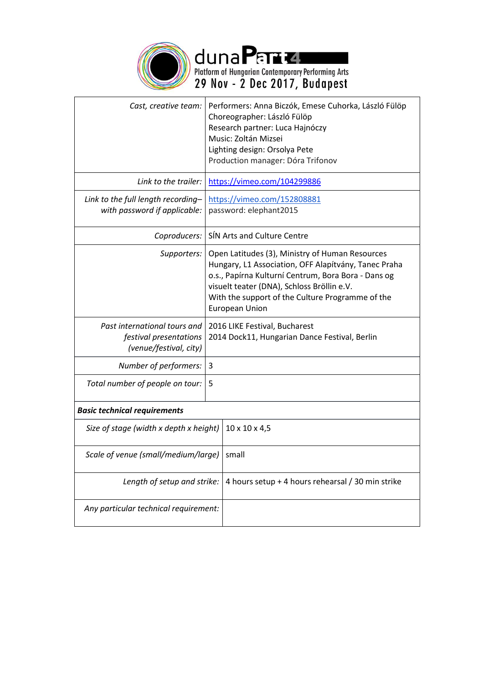

duna Part Level Platform of Hungarian Contemporary Performing Arts<br>29 Nov - 2 Dec 2017, Budapest

| Cast, creative team:                                                             | Performers: Anna Biczók, Emese Cuhorka, László Fülöp<br>Choreographer: László Fülöp<br>Research partner: Luca Hajnóczy<br>Music: Zoltán Mizsei<br>Lighting design: Orsolya Pete<br>Production manager: Dóra Trifonov                                                                      |  |
|----------------------------------------------------------------------------------|-------------------------------------------------------------------------------------------------------------------------------------------------------------------------------------------------------------------------------------------------------------------------------------------|--|
| Link to the trailer:                                                             | https://vimeo.com/104299886                                                                                                                                                                                                                                                               |  |
| Link to the full length recording-<br>with password if applicable:               | https://vimeo.com/152808881<br>password: elephant2015                                                                                                                                                                                                                                     |  |
| Coproducers:                                                                     | SIN Arts and Culture Centre                                                                                                                                                                                                                                                               |  |
| Supporters:                                                                      | Open Latitudes (3), Ministry of Human Resources<br>Hungary, L1 Association, OFF Alapítvány, Tanec Praha<br>o.s., Papírna Kulturní Centrum, Bora Bora - Dans og<br>visuelt teater (DNA), Schloss Bröllin e.V.<br>With the support of the Culture Programme of the<br><b>European Union</b> |  |
| Past international tours and<br>festival presentations<br>(venue/festival, city) | 2016 LIKE Festival, Bucharest<br>2014 Dock11, Hungarian Dance Festival, Berlin                                                                                                                                                                                                            |  |
| Number of performers:                                                            | 3                                                                                                                                                                                                                                                                                         |  |
| Total number of people on tour:                                                  | 5                                                                                                                                                                                                                                                                                         |  |
| <b>Basic technical requirements</b>                                              |                                                                                                                                                                                                                                                                                           |  |
| Size of stage (width x depth x height)                                           | $10 \times 10 \times 4,5$                                                                                                                                                                                                                                                                 |  |
| Scale of venue (small/medium/large)                                              | small                                                                                                                                                                                                                                                                                     |  |
| Length of setup and strike:                                                      | 4 hours setup + 4 hours rehearsal / 30 min strike                                                                                                                                                                                                                                         |  |
| Any particular technical requirement:                                            |                                                                                                                                                                                                                                                                                           |  |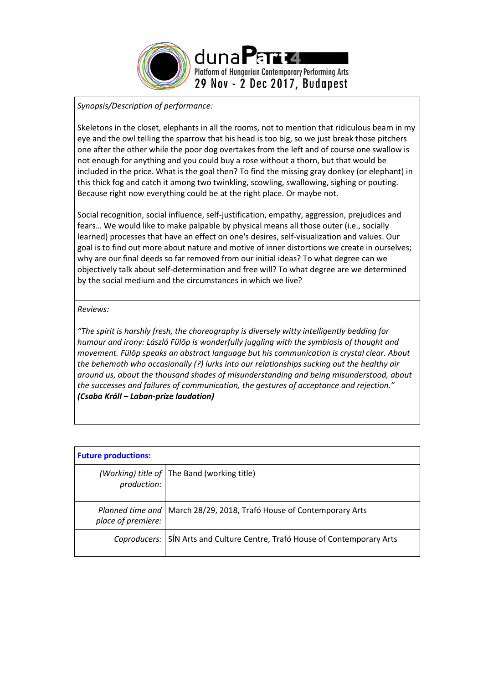

# *Synopsis/Description of performance:*

Skeletons in the closet, elephants in all the rooms, not to mention that ridiculous beam in my eye and the owl telling the sparrow that his head is too big, so we just break those pitchers one after the other while the poor dog overtakes from the left and of course one swallow is not enough for anything and you could buy a rose without a thorn, but that would be included in the price. What is the goal then? To find the missing gray donkey (or elephant) in this thick fog and catch it among two twinkling, scowling, swallowing, sighing or pouting. Because right now everything could be at the right place. Or maybe not.

Social recognition, social influence, self-justification, empathy, aggression, prejudices and fears… We would like to make palpable by physical means all those outer (i.e., socially learned) processes that have an effect on one's desires, self-visualization and values. Our goal is to find out more about nature and motive of inner distortions we create in ourselves; why are our final deeds so far removed from our initial ideas? To what degree can we objectively talk about self-determination and free will? To what degree are we determined by the social medium and the circumstances in which we live?

### *Reviews:*

*"The spirit is harshly fresh, the choreography is diversely witty intelligently bedding for humour and irony: László Fülöp is wonderfully juggling with the symbiosis of thought and movement. Fülöp speaks an abstract language but his communication is crystal clear. About the behemoth who occasionally (?) lurks into our relationships sucking out the healthy air around us, about the thousand shades of misunderstanding and being misunderstood, about the successes and failures of communication, the gestures of acceptance and rejection." (Csaba Králl – Laban-prize laudation)*

| <b>Future productions:</b> |                                                                            |
|----------------------------|----------------------------------------------------------------------------|
| production:                | (Working) title of   The Band (working title)                              |
| place of premiere:         | Planned time and   March 28/29, 2018, Trafó House of Contemporary Arts     |
|                            | Coproducers: SIN Arts and Culture Centre, Trafó House of Contemporary Arts |